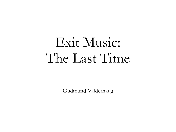## Exit Music: The Last Time

Gudmund Valderhaug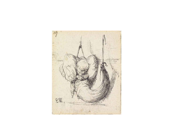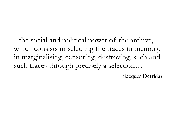...the social and political power of the archive, which consists in selecting the traces in memory, in marginalising, censoring, destroying, such and such traces through precisely a selection…

(Jacques Derrida)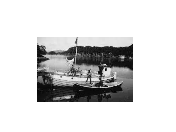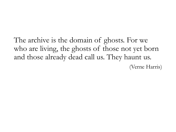The archive is the domain of ghosts. For we who are living, the ghosts of those not yet born and those already dead call us. They haunt us.

(Verne Harris)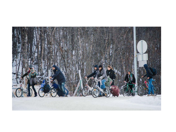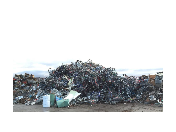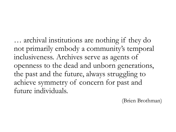… archival institutions are nothing if they do not primarily embody a community's temporal inclusiveness. Archives serve as agents of openness to the dead and unborn generations, the past and the future, always struggling to achieve symmetry of concern for past and future individuals.

(Brien Brothman)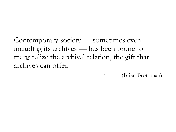Contemporary society — sometimes even including its archives — has been prone to marginalize the archival relation, the gift that archives can offer.

' (Brien Brothman)